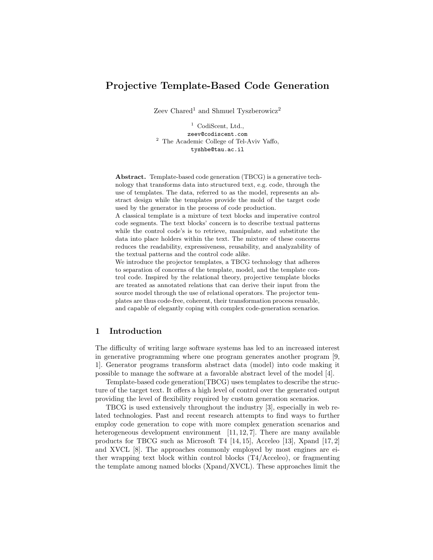# Projective Template-Based Code Generation

Zeev Chared<sup>1</sup> and Shmuel Tyszberowicz<sup>2</sup>

<sup>1</sup> CodiScent, Ltd., zeev@codiscent.com <sup>2</sup> The Academic College of Tel-Aviv Yaffo, tyshbe@tau.ac.il

Abstract. Template-based code generation (TBCG) is a generative technology that transforms data into structured text, e.g. code, through the use of templates. The data, referred to as the model, represents an abstract design while the templates provide the mold of the target code used by the generator in the process of code production.

A classical template is a mixture of text blocks and imperative control code segments. The text blocks' concern is to describe textual patterns while the control code's is to retrieve, manipulate, and substitute the data into place holders within the text. The mixture of these concerns reduces the readability, expressiveness, reusability, and analyzability of the textual patterns and the control code alike.

We introduce the projector templates, a TBCG technology that adheres to separation of concerns of the template, model, and the template control code. Inspired by the relational theory, projective template blocks are treated as annotated relations that can derive their input from the source model through the use of relational operators. The projector templates are thus code-free, coherent, their transformation process reusable, and capable of elegantly coping with complex code-generation scenarios.

### 1 Introduction

The difficulty of writing large software systems has led to an increased interest in generative programming where one program generates another program [9, 1]. Generator programs transform abstract data (model) into code making it possible to manage the software at a favorable abstract level of the model [4].

Template-based code generation(TBCG) uses templates to describe the structure of the target text. It offers a high level of control over the generated output providing the level of flexibility required by custom generation scenarios.

TBCG is used extensively throughout the industry [3], especially in web related technologies. Past and recent research attempts to find ways to further employ code generation to cope with more complex generation scenarios and heterogeneous development environment  $[11, 12, 7]$ . There are many available products for TBCG such as Microsoft T4 [14, 15], Acceleo [13], Xpand [17, 2] and XVCL [8]. The approaches commonly employed by most engines are either wrapping text block within control blocks (T4/Acceleo), or fragmenting the template among named blocks (Xpand/XVCL). These approaches limit the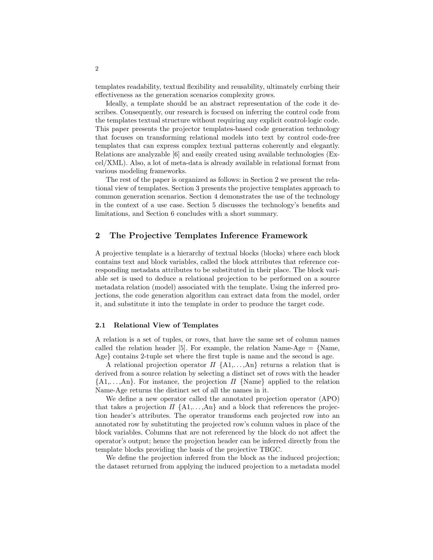templates readability, textual flexibility and reusability, ultimately curbing their effectiveness as the generation scenarios complexity grows.

Ideally, a template should be an abstract representation of the code it describes. Consequently, our research is focused on inferring the control code from the templates textual structure without requiring any explicit control-logic code. This paper presents the projector templates-based code generation technology that focuses on transforming relational models into text by control code-free templates that can express complex textual patterns coherently and elegantly. Relations are analyzable [6] and easily created using available technologies (Excel/XML). Also, a lot of meta-data is already available in relational format from various modeling frameworks.

The rest of the paper is organized as follows: in Section 2 we present the relational view of templates. Section 3 presents the projective templates approach to common generation scenarios. Section 4 demonstrates the use of the technology in the context of a use case. Section 5 discusses the technology's benefits and limitations, and Section 6 concludes with a short summary.

### 2 The Projective Templates Inference Framework

A projective template is a hierarchy of textual blocks (blocks) where each block contains text and block variables, called the block attributes that reference corresponding metadata attributes to be substituted in their place. The block variable set is used to deduce a relational projection to be performed on a source metadata relation (model) associated with the template. Using the inferred projections, the code generation algorithm can extract data from the model, order it, and substitute it into the template in order to produce the target code.

### 2.1 Relational View of Templates

A relation is a set of tuples, or rows, that have the same set of column names called the relation header [5]. For example, the relation Name-Age  $= \{Name,$ Age} contains 2-tuple set where the first tuple is name and the second is age.

A relational projection operator  $\Pi$  {A1,...,An} returns a relation that is derived from a source relation by selecting a distinct set of rows with the header  ${A1, \ldots, An}$ . For instance, the projection  $\Pi$  {Name} applied to the relation Name-Age returns the distinct set of all the names in it.

We define a new operator called the annotated projection operator (APO) that takes a projection  $\Pi$  {A1,...,An} and a block that references the projection header's attributes. The operator transforms each projected row into an annotated row by substituting the projected row's column values in place of the block variables. Columns that are not referenced by the block do not affect the operator's output; hence the projection header can be inferred directly from the template blocks providing the basis of the projective TBGC.

We define the projection inferred from the block as the induced projection; the dataset returned from applying the induced projection to a metadata model

2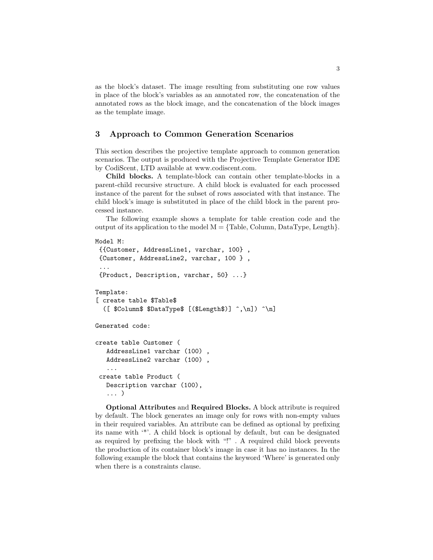as the block's dataset. The image resulting from substituting one row values in place of the block's variables as an annotated row, the concatenation of the annotated rows as the block image, and the concatenation of the block images as the template image.

# 3 Approach to Common Generation Scenarios

This section describes the projective template approach to common generation scenarios. The output is produced with the Projective Template Generator IDE by CodiScent, LTD available at www.codiscent.com.

Child blocks. A template-block can contain other template-blocks in a parent-child recursive structure. A child block is evaluated for each processed instance of the parent for the subset of rows associated with that instance. The child block's image is substituted in place of the child block in the parent processed instance.

The following example shows a template for table creation code and the output of its application to the model  $M = \{Table, Column, DataType, Length\}.$ 

```
Model M:
 {{Customer, AddressLine1, varchar, 100} ,
{Customer, AddressLine2, varchar, 100 } ,
 ...
{Product, Description, varchar, 50} ...}
Template:
[ create table $Table$
  ([$Column$ $DataType$ [($Length$)] ^, \n'] \Generated code:
create table Customer (
  AddressLine1 varchar (100) ,
  AddressLine2 varchar (100) ,
   ...
create table Product (
  Description varchar (100),
   ... )
```
Optional Attributes and Required Blocks. A block attribute is required by default. The block generates an image only for rows with non-empty values in their required variables. An attribute can be defined as optional by prefixing its name with '\*'. A child block is optional by default, but can be designated as required by prefixing the block with "!" . A required child block prevents the production of its container block's image in case it has no instances. In the following example the block that contains the keyword 'Where' is generated only when there is a constraints clause.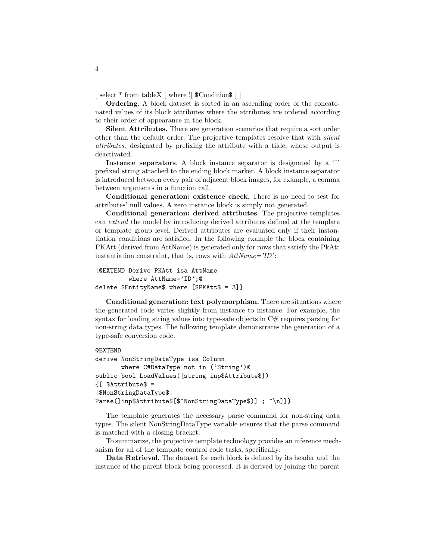[ select \* from tableX [ where ![ \$Condition\$ ] ]

Ordering. A block dataset is sorted in an ascending order of the concatenated values of its block attributes where the attributes are ordered according to their order of appearance in the block.

Silent Attributes. There are generation scenarios that require a sort order other than the default order. The projective templates resolve that with silent attributes , designated by prefixing the attribute with a tilde, whose output is deactivated.

Instance separators. A block instance separator is designated by a <sup>'</sup> prefixed string attached to the ending block marker. A block instance separator is introduced between every pair of adjacent block images, for example, a comma between arguments in a function call.

Conditional generation: existence check. There is no need to test for attributes' null values. A zero instance block is simply not generated.

Conditional generation: derived attributes. The projective templates can extend the model by introducing derived attributes defined at the template or template group level. Derived attributes are evaluated only if their instantiation conditions are satisfied. In the following example the block containing PKAtt (derived from AttName) is generated only for rows that satisfy the PkAtt instantiation constraint, that is, rows with  $AttName = 'ID'$ :

```
[@EXTEND Derive PKAtt isa AttName
         where AttName='ID';@
delete $EntityName$ where [$PKAtt$ = 3]]
```
Conditional generation: text polymorphism. There are situations where the generated code varies slightly from instance to instance. For example, the syntax for loading string values into type-safe objects in  $C#$  requires parsing for non-string data types. The following template demonstrates the generation of a type-safe conversion code.

```
@EXTEND
derive NonStringDataType isa Column
       where C#DataType not in ('String')@
public bool LoadValues([string inp$Attribute$])
{[ $Attribute$ =
[$NonStringDataType$.
Parse(]inp$Attribute$[$~NonStringDataType$)] ; ^\n]}}
```
The template generates the necessary parse command for non-string data types. The silent NonStringDataType variable ensures that the parse command is matched with a closing bracket.

To summarize, the projective template technology provides an inference mechanism for all of the template control code tasks, specifically:

Data Retrieval. The dataset for each block is defined by its header and the instance of the parent block being processed. It is derived by joining the parent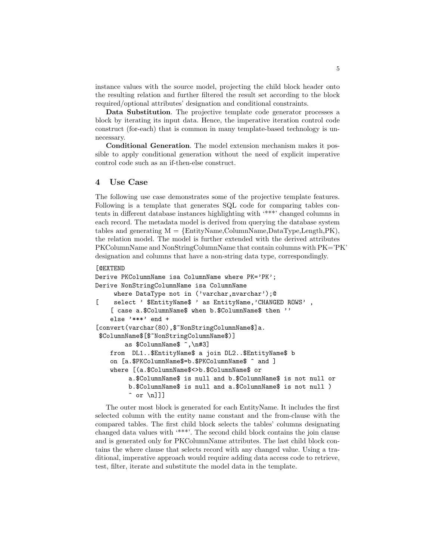instance values with the source model, projecting the child block header onto the resulting relation and further filtered the result set according to the block required/optional attributes' designation and conditional constraints.

Data Substitution. The projective template code generator processes a block by iterating its input data. Hence, the imperative iteration control code construct (for-each) that is common in many template-based technology is unnecessary.

Conditional Generation. The model extension mechanism makes it possible to apply conditional generation without the need of explicit imperative control code such as an if-then-else construct.

# 4 Use Case

The following use case demonstrates some of the projective template features. Following is a template that generates SQL code for comparing tables contents in different database instances highlighting with '\*\*\*' changed columns in each record. The metadata model is derived from querying the database system tables and generating  $M = {EntityName, ColumnName, DataType, Length, PK)}$ , the relation model. The model is further extended with the derived attributes PKColumnName and NonStringColumnName that contain columns with PK='PK' designation and columns that have a non-string data type, correspondingly.

#### [@EXTEND

```
Derive PKColumnName isa ColumnName where PK='PK';
Derive NonStringColumnName isa ColumnName
     where DataType not in ('varchar,nvarchar'); 0
[ select ' $EntityName$ ' as EntityName, 'CHANGED ROWS',
    [ case a.$ColumnName$ when b.$ColumnName$ then ''
    else '***' end +
[convert(varchar(80), \frac{8}{3}NonStringColumnName$]a.
$ColumnName$[$~NonStringColumnName$)]
        as $ColumnName$ ^,\n#3]
    from DL1..$EntityName$ a join DL2..$EntityName$ b
    on [a.$PKColumnName$=b.$PKColumnName$ ^ and ]
    where [(a.$ColumnName$<>b.$ColumnName$ or
         a.$ColumnName$ is null and b.$ColumnName$ is not null or
         b.$ColumnName$ is null and a.$ColumnName$ is not null )
         \hat{ } or \n \n
```
The outer most block is generated for each EntityName. It includes the first selected column with the entity name constant and the from-clause with the compared tables. The first child block selects the tables' columns designating changed data values with '\*\*\*'. The second child block contains the join clause and is generated only for PKColumnName attributes. The last child block contains the where clause that selects record with any changed value. Using a traditional, imperative approach would require adding data access code to retrieve, test, filter, iterate and substitute the model data in the template.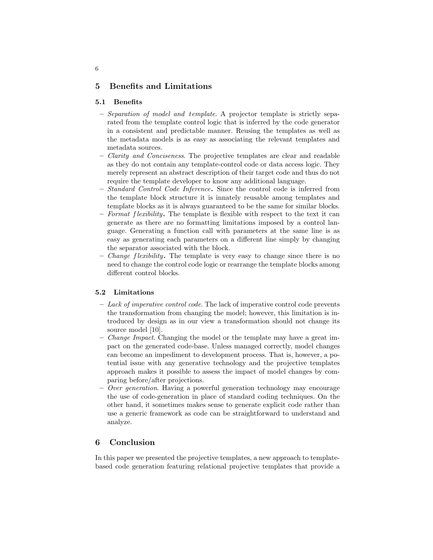# 5 Benefits and Limitations

### 5.1 Benefits

- Separation of model and template. A projector template is strictly separated from the template control logic that is inferred by the code generator in a consistent and predictable manner. Reusing the templates as well as the metadata models is as easy as associating the relevant templates and metadata sources.
- Clarity and Conciseness. The projective templates are clear and readable as they do not contain any template-control code or data access logic. They merely represent an abstract description of their target code and thus do not require the template developer to know any additional language.
- Standard Control Code Inference. Since the control code is inferred from the template block structure it is innately reusable among templates and template blocks as it is always guaranteed to be the same for similar blocks.
- $-$  Format flexibility. The template is flexible with respect to the text it can generate as there are no formatting limitations imposed by a control language. Generating a function call with parameters at the same line is as easy as generating each parameters on a different line simply by changing the separator associated with the block.
- $-$  Change flexibility. The template is very easy to change since there is no need to change the control code logic or rearrange the template blocks among different control blocks.

### 5.2 Limitations

- $-$  Lack of imperative control code. The lack of imperative control code prevents the transformation from changing the model; however, this limitation is introduced by design as in our view a transformation should not change its source model [10].
- $-$  *Change Impact.* Changing the model or the template may have a great impact on the generated code-base. Unless managed correctly, model changes can become an impediment to development process. That is, however, a potential issue with any generative technology and the projective templates approach makes it possible to assess the impact of model changes by comparing before/after projections.
- Over generation. Having a powerful generation technology may encourage the use of code-generation in place of standard coding techniques. On the other hand, it sometimes makes sense to generate explicit code rather than use a generic framework as code can be straightforward to understand and analyze.

# 6 Conclusion

In this paper we presented the projective templates, a new approach to templatebased code generation featuring relational projective templates that provide a